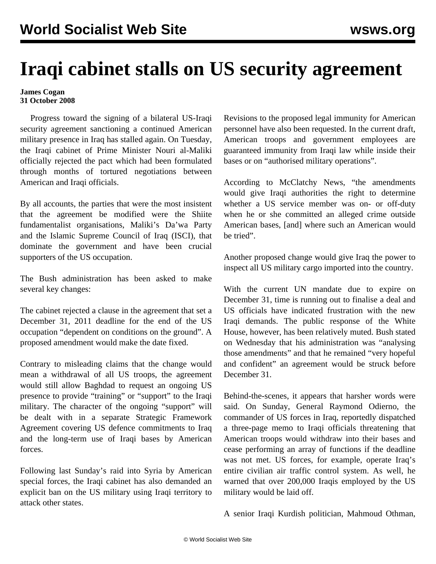## **Iraqi cabinet stalls on US security agreement**

## **James Cogan 31 October 2008**

 Progress toward the signing of a bilateral US-Iraqi security agreement sanctioning a continued American military presence in Iraq has stalled again. On Tuesday, the Iraqi cabinet of Prime Minister Nouri al-Maliki officially rejected the pact which had been formulated through months of tortured negotiations between American and Iraqi officials.

By all accounts, the parties that were the most insistent that the agreement be modified were the Shiite fundamentalist organisations, Maliki's Da'wa Party and the Islamic Supreme Council of Iraq (ISCI), that dominate the government and have been crucial supporters of the US occupation.

The Bush administration has been asked to make several key changes:

The cabinet rejected a clause in the agreement that set a December 31, 2011 deadline for the end of the US occupation "dependent on conditions on the ground". A proposed amendment would make the date fixed.

Contrary to misleading claims that the change would mean a withdrawal of all US troops, the agreement would still allow Baghdad to request an ongoing US presence to provide "training" or "support" to the Iraqi military. The character of the ongoing "support" will be dealt with in a separate Strategic Framework Agreement covering US defence commitments to Iraq and the long-term use of Iraqi bases by American forces.

Following last Sunday's raid into Syria by American special forces, the Iraqi cabinet has also demanded an explicit ban on the US military using Iraqi territory to attack other states.

Revisions to the proposed legal immunity for American personnel have also been requested. In the current draft, American troops and government employees are guaranteed immunity from Iraqi law while inside their bases or on "authorised military operations".

According to McClatchy News, "the amendments would give Iraqi authorities the right to determine whether a US service member was on- or off-duty when he or she committed an alleged crime outside American bases, [and] where such an American would be tried".

Another proposed change would give Iraq the power to inspect all US military cargo imported into the country.

With the current UN mandate due to expire on December 31, time is running out to finalise a deal and US officials have indicated frustration with the new Iraqi demands. The public response of the White House, however, has been relatively muted. Bush stated on Wednesday that his administration was "analysing those amendments" and that he remained "very hopeful and confident" an agreement would be struck before December 31.

Behind-the-scenes, it appears that harsher words were said. On Sunday, General Raymond Odierno, the commander of US forces in Iraq, reportedly dispatched a three-page memo to Iraqi officials threatening that American troops would withdraw into their bases and cease performing an array of functions if the deadline was not met. US forces, for example, operate Iraq's entire civilian air traffic control system. As well, he warned that over 200,000 Iraqis employed by the US military would be laid off.

A senior Iraqi Kurdish politician, Mahmoud Othman,